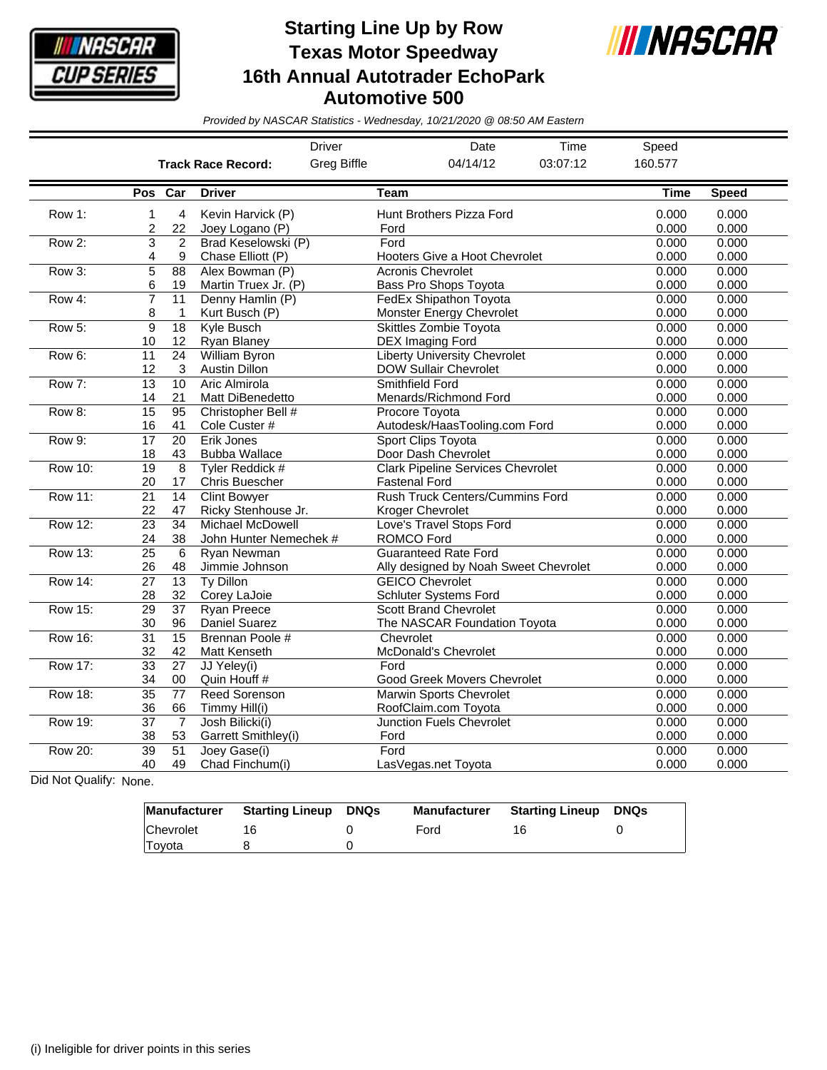

## **Starting Line Up by Row Texas Motor Speedway 16th Annual Autotrader EchoPark Automotive 500**



*Provided by NASCAR Statistics - Wednesday, 10/21/2020 @ 08:50 AM Eastern*

|                |                       |                       |                                            | <b>Driver</b>      | Date                                                                 | Time | Speed          |                |
|----------------|-----------------------|-----------------------|--------------------------------------------|--------------------|----------------------------------------------------------------------|------|----------------|----------------|
|                |                       |                       | <b>Track Race Record:</b>                  | <b>Greg Biffle</b> | 04/14/12                                                             |      | 160.577        |                |
|                |                       | Pos Car               | <b>Driver</b>                              |                    | <b>Team</b>                                                          |      | <b>Time</b>    | <b>Speed</b>   |
| Row 1:         | 1<br>$\overline{c}$   | 4<br>22               | Kevin Harvick (P)<br>Joey Logano (P)       |                    | Hunt Brothers Pizza Ford<br>Ford                                     |      | 0.000<br>0.000 | 0.000<br>0.000 |
| Row 2:         | 3<br>4                | $\overline{2}$<br>9   | Brad Keselowski (P)<br>Chase Elliott (P)   |                    | Ford<br>Hooters Give a Hoot Chevrolet                                |      | 0.000<br>0.000 | 0.000<br>0.000 |
| Row 3:         | $\overline{5}$<br>6   | $\overline{88}$<br>19 | Alex Bowman (P)<br>Martin Truex Jr. (P)    |                    | <b>Acronis Chevrolet</b><br>Bass Pro Shops Toyota                    |      | 0.000<br>0.000 | 0.000<br>0.000 |
| Row 4:         | $\overline{7}$<br>8   | 11<br>$\mathbf{1}$    | Denny Hamlin (P)<br>Kurt Busch (P)         |                    | <b>FedEx Shipathon Toyota</b><br>Monster Energy Chevrolet            |      | 0.000<br>0.000 | 0.000<br>0.000 |
| Row 5:         | $\overline{9}$<br>10  | $\overline{18}$<br>12 | Kyle Busch<br>Ryan Blaney                  |                    | <b>Skittles Zombie Toyota</b><br><b>DEX Imaging Ford</b>             |      | 0.000<br>0.000 | 0.000<br>0.000 |
| Row 6:         | 11<br>12              | $\overline{24}$<br>3  | William Byron<br><b>Austin Dillon</b>      |                    | <b>Liberty University Chevrolet</b><br><b>DOW Sullair Chevrolet</b>  |      | 0.000<br>0.000 | 0.000<br>0.000 |
| Row 7:         | $\overline{13}$<br>14 | $\overline{10}$<br>21 | Aric Almirola<br>Matt DiBenedetto          |                    | Smithfield Ford<br>Menards/Richmond Ford                             |      | 0.000<br>0.000 | 0.000<br>0.000 |
| Row 8:         | 15<br>16              | 95<br>41              | Christopher Bell #<br>Cole Custer #        |                    | Procore Toyota<br>Autodesk/HaasTooling.com Ford                      |      | 0.000<br>0.000 | 0.000<br>0.000 |
| Row 9:         | 17<br>18              | 20<br>43              | Erik Jones<br><b>Bubba Wallace</b>         |                    | Sport Clips Toyota<br>Door Dash Chevrolet                            |      | 0.000<br>0.000 | 0.000<br>0.000 |
| <b>Row 10:</b> | $\overline{19}$<br>20 | $\overline{8}$<br>17  | Tyler Reddick #<br><b>Chris Buescher</b>   |                    | <b>Clark Pipeline Services Chevrolet</b><br><b>Fastenal Ford</b>     |      | 0.000<br>0.000 | 0.000<br>0.000 |
| <b>Row 11:</b> | 21<br>22              | 14<br>47              | <b>Clint Bowyer</b><br>Ricky Stenhouse Jr. |                    | <b>Rush Truck Centers/Cummins Ford</b><br><b>Kroger Chevrolet</b>    |      | 0.000<br>0.000 | 0.000<br>0.000 |
| <b>Row 12:</b> | $\overline{23}$<br>24 | $\overline{34}$<br>38 | Michael McDowell<br>John Hunter Nemechek # |                    | Love's Travel Stops Ford<br><b>ROMCO Ford</b>                        |      | 0.000<br>0.000 | 0.000<br>0.000 |
| <b>Row 13:</b> | $\overline{25}$<br>26 | 6<br>48               | Ryan Newman<br>Jimmie Johnson              |                    | <b>Guaranteed Rate Ford</b><br>Ally designed by Noah Sweet Chevrolet |      | 0.000<br>0.000 | 0.000<br>0.000 |
| <b>Row 14:</b> | $\overline{27}$<br>28 | 13<br>32              | <b>Ty Dillon</b><br>Corey LaJoie           |                    | <b>GEICO Chevrolet</b><br><b>Schluter Systems Ford</b>               |      | 0.000<br>0.000 | 0.000<br>0.000 |
| <b>Row 15:</b> | $\overline{29}$<br>30 | 37<br>96              | <b>Ryan Preece</b><br><b>Daniel Suarez</b> |                    | <b>Scott Brand Chevrolet</b><br>The NASCAR Foundation Toyota         |      | 0.000<br>0.000 | 0.000<br>0.000 |
| <b>Row 16:</b> | $\overline{31}$<br>32 | $\overline{15}$<br>42 | Brennan Poole #<br>Matt Kenseth            |                    | Chevrolet<br>McDonald's Chevrolet                                    |      | 0.000<br>0.000 | 0.000<br>0.000 |
| <b>Row 17:</b> | $\overline{33}$<br>34 | 27<br>00              | JJ Yeley(i)<br>Quin Houff #                |                    | Ford<br><b>Good Greek Movers Chevrolet</b>                           |      | 0.000<br>0.000 | 0.000<br>0.000 |
| <b>Row 18:</b> | $\overline{35}$<br>36 | 77<br>66              | <b>Reed Sorenson</b><br>Timmy Hill(i)      |                    | <b>Marwin Sports Chevrolet</b><br>RoofClaim.com Toyota               |      | 0.000<br>0.000 | 0.000<br>0.000 |
| Row 19:        | $\overline{37}$<br>38 | $\overline{7}$<br>53  | Josh Bilicki(i)<br>Garrett Smithley(i)     |                    | <b>Junction Fuels Chevrolet</b><br>Ford                              |      | 0.000<br>0.000 | 0.000<br>0.000 |
| <b>Row 20:</b> | $\overline{39}$<br>40 | $\overline{51}$<br>49 | Joey Gase(i)<br>Chad Finchum(i)            |                    | Ford<br>LasVegas.net Toyota                                          |      |                |                |

Did Not Qualify: None.

| <b>Manufacturer</b> | <b>Starting Lineup DNQs</b> | Manufacturer | <b>Starting Lineup DNQs</b> |  |
|---------------------|-----------------------------|--------------|-----------------------------|--|
| Chevrolet           |                             | Ford         | 16                          |  |
| Toyota              |                             |              |                             |  |